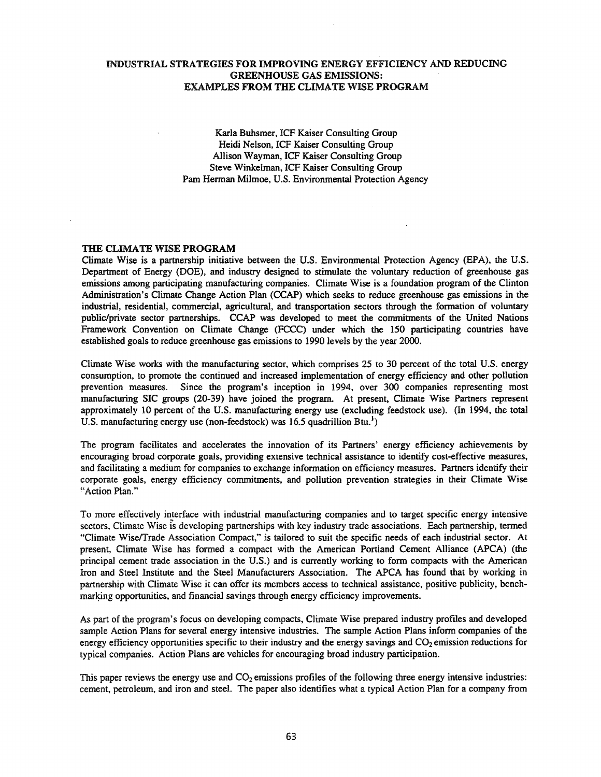# INDUSTRIAL STRATEGIES FOR IMPROVING ENERGY EFFICIENCY AND REDUCING GREENHOUSE GAS EMISSIONS: EXAMPLES FROM THE CLIMATE WISE PROGRAM

Karla Buhsmer, ICF Kaiser Consulting Group Heidi Nelson, ICF Kaiser Consulting Group Allison Wayman, ICF Kaiser Consulting Group Steve Winkelman, ICF Kaiser Consulting Group Pam Herman Milmoe, U.S. Environmental Protection Agency

# THE CLIMATE WISE PROGRAM

Climate Wise is a partnership initiative between the U.S. Environmental Protection Agency (EPA), the U.S. Department of Energy (DOE), and industry designed to stimulate the voluntary reduction of greenhouse gas emissions among participating manufacturing companies. Climate Wise is a foundation program of the Clinton Administration's Climate Change Action Plan (CCAP) which seeks to reduce greenhouse gas emissions in the industrial, residential, commercial, agricultural, and transportation sectors through the formation of voluntary public/private sector partnerships. CCAP was developed to meet the commitments of the United Nations Framework Convention on Climate Change (FCCC) under which the 150 participating countries have established goals to reduce greenhouse gas emissions to 1990 levels by the year 2000.

Climate Wise works with the manufacturing sector, which comprises 25 to 30 percent of the total U.S. energy consumption, to promote the continued and increased implementation of energy efficiency and other pollution prevention measures. Since the program's inception in 1994, over 300 companies representing most manufacturing SIC groups (20-39) have joined the program. At present, Climate Wise Partners represent approximately 10 percent of the U.S. manufacturing energy use (excluding feedstock use). (In 1994, the total U.S. manufacturing energy use (non-feedstock) was 16.5 quadrillion Btu.<sup>1</sup>)

The program facilitates and accelerates the innovation of its Partners' energy efficiency achievements by encouraging broad corporate goals, providing extensive technical assistance to identify cost-effective measures, and facilitating a medium for companies to exchange information on efficiency measures. Partners identify their corporate goals, energy efficiency commitments, and pollution prevention strategies in their Climate Wise "Action Plan."

To more effectively interface with industrial manufacturing companies and to target specific energy intensive sectors, Climate Wise is developing partnerships with key industry trade associations. Each partnership, termed "Climate WisefTrade Association Compact," is tailored to suit the specific needs of each industrial sector. At present, Climate Wise has formed a compact with the American Portland Cement Alliance (APCA) (the principal cement trade association in the U.S.) and is currently working to form compacts with the American Iron and Steel Institute and the Steel Manufacturers Association. The APCA has found that by working in partnership with Climate Wise it can offer its members access to technical assistance, positive publicity, benchmarking opportunities, and financial savings through energy efficiency improvements.

As part of the program's focus on developing compacts, Climate Wise prepared industry profiles and developed sample Action Plans for several energy intensive industries. The sample Action Plans inform companies of the energy efficiency opportunities specific to their industry and the energy savings and  $CO<sub>2</sub>$  emission reductions for typical companies. Action Plans are vehicles for encouraging broad industry participation.

This paper reviews the energy use and  $CO<sub>2</sub>$  emissions profiles of the following three energy intensive industries: cement, petroleum, and iron and steeL The paper also identifies what a typical Action Plan for a company from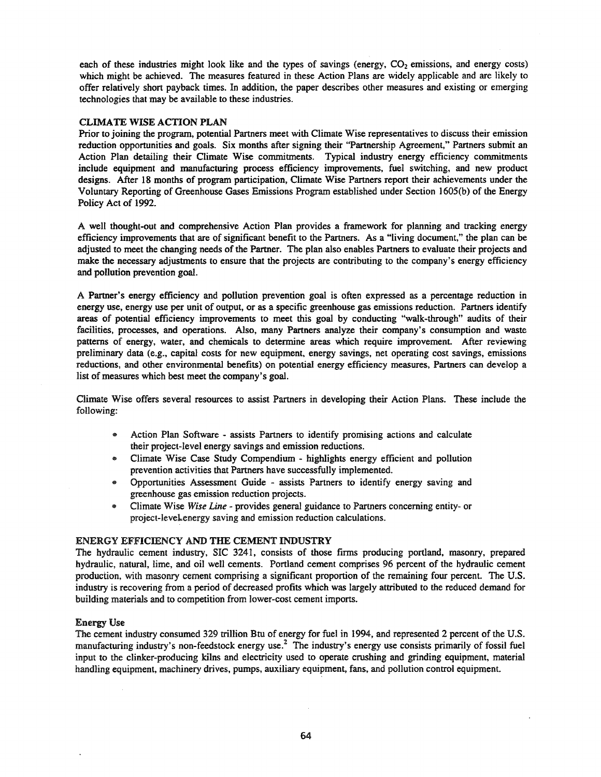each of these industries might look like and the types of savings (energy, CO<sub>2</sub> emissions, and energy costs) which might be achieved. The measures featured in these Action Plans are widely applicable and are likely to offer relatively short payback times. In addition, the paper describes other measures and existing or emerging technologies that may be available to these industries.

# CLIMATE WISE ACTION PLAN

Prior to joining the program, potential Partners meet with Climate Wise representatives to discuss their emission reduction opportunities and goals. Six months after signing their "Partnership Agreement," Partners submit an Action Plan detailing their Climate Wise commitments. Typical industry energy efficiency commitments include equipment and manufacturing process efficiency improvements, fuel switching, and new product designs. After 18 months of program participation, Climate Wise Partners report their achievements under the Voluntary Reporting of Greenhouse Gases Emissions Program established under Section 1605(b) of the Energy Policy Act of 1992.

A well thought-out and comprehensive Action Plan provides a framework for planning and tracking energy efficiency improvements that are of significant benefit to the Partners. As a "living document," the plan can be adjusted to meet the changing needs of the Partner. The plan also enables Partners to evaluate their projects and make the necessary adjustments to ensure that the projects are contributing to the company's energy efficiency and pollution prevention goal.

A Partner's energy efficiency and pollution prevention goal is often expressed as a percentage reduction in energy use, energy use per unit of output, or as a specific greenhouse gas emissions reduction. Partners identify areas of potential efficiency improvements to meet this goal by conducting "walk-through" audits of their facilities, processes, and operations. Also, many Partners analyze their company's consumption and waste patterns of energy, water, and chemicals to determine areas which require improvement. After reviewing preliminary data (e.g., capital costs for new equipment, energy savings, net operating cost savings, emissions reductions, and other environmental benefits) on potential energy efficiency measures, Partners can develop a list of measures which best meet the company's goal.

Climate Wise offers several resources to assist Partners in developing their Action Plans. These include the following:

- Action Plan Software assists Partners to identify promising actions and calculate their project-level energy savings and emission reductions.
- @ Climate Wise Case Study Compendium highlights energy efficient and pollution prevention activities that Partners have successfully implemented.
- @ Opportunities Assessment Guide assists Partners to identify energy saving and greenhouse gas emission reduction projects.
- 8) Climate Wise *Wise Line* provides general guidance to Partners concerning entity- or project-level energy saving and emission reduction calculations.

## ENERGY EFFICIENCY AND THE CEMENT INDUSTRY

The hydraulic cement industry, SIC 3241, consists of those firms producing portland, masonry, prepared hydraulic, natural, lime, and oil well cements. Portland cement comprises 96 percent of the hydraulic cement production, with masonry cement comprising a significant proportion of the remaining four percent. The U.S. industry is recovering from a period of decreased profits which was largely attributed to the reduced demand for building materials and to competition from lower-cost cement imports.

## Energy Use

The cement industry consumed 329 trillion Btu of energy for fuel in 1994, and represented 2 percent of the U.S. manufacturing industry's non-feedstock energy use.<sup>2</sup> The industry's energy use consists primarily of fossil fuel input to the clinker-producing kilns and electricity used to operate crushing and grinding equipment, material handling equipment, machinery drives, pumps, auxiliary equipment, fans, and pollution control equipment.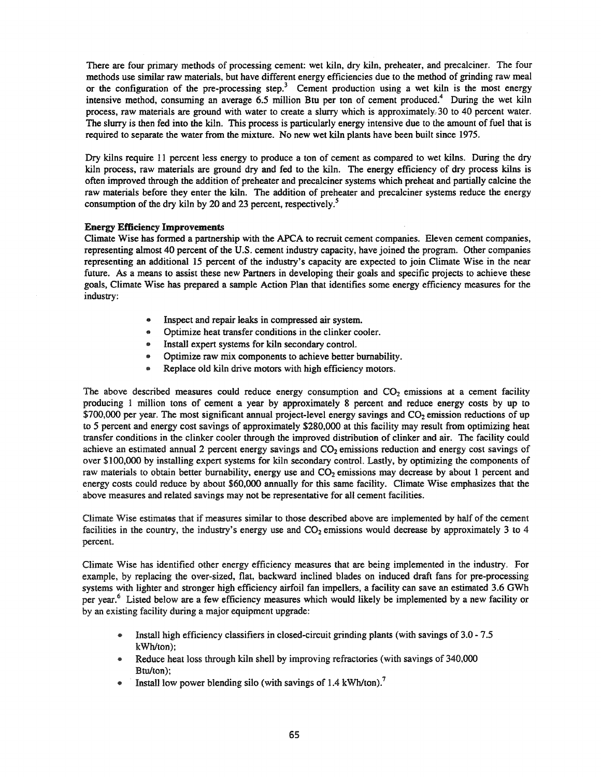There are four primary methods of processing cement: wet kiln, dry kiln, preheater, and precalciner. The four methods use similar raw materials, but have different energy efficiencies due to the method of grinding raw meal or the configuration of the pre-processing step.<sup>3</sup> Cement production using a wet kiln is the most energy intensive method, consuming an average 6.5 million Btu per ton of cement produced.<sup>4</sup> During the wet kiln process, raw materials are ground with water to create a slurry which is approximately:,30 to 40 percent water. The slurry is then fed into the kiln. This process is particularly energy intensive due to the amount of fuel that is required to separate the water from the mixture. No new wet kiln plants have been built since 1975.

Dry kilns require 11 percent less energy to produce a ton of cement as compared to wet kilns. During the dry kiln process, raw materials are ground dry and fed to the kiln. The energy efficiency of dry process kilns is often improved through the addition of preheater and precalciner systems which preheat and partially calcine the raw materials before they enter the kiln. The addition of preheater and precalciner systems reduce the energy consumption of the dry kiln by 20 and 23 percent, respectively.<sup>5</sup>

#### Energy Efficiency Improvements

Climate Wise has fonned a partnership with the APCA to recruit cement companies. Eleven cement companies, representing almost 40 percent of the U.S. cement industry capacity, have joined the program. Other companies representing an additional 15 percent of the industry's capacity are expected to join Climate Wise in the near future. As a means to assist these new Partners in developing their goals and specific projects to achieve these goals, Climate Wise has prepared a sample Action Plan that identifies some energy efficiency measures for the industry:

- Inspect and repair leaks in compressed air system.
- Optimize heat transfer conditions in the clinker cooler.
- Install expert systems for kiln secondary control.
- Optimize raw mix components to achieve better bumability.
- Replace old kiln drive motors with high efficiency motors.

The above described measures could reduce energy consumption and  $CO<sub>2</sub>$  emissions at a cement facility producing 1 million tons of cement a year by approximately 8 percent and reduce energy costs by up to  $$700,000$  per year. The most significant annual project-level energy savings and  $CO<sub>2</sub>$  emission reductions of up to 5 percent and energy cost savings of approximately \$280,000 at this facility may result from optimizing heat transfer conditions in the clinker cooler through the improved distribution of clinker and air. The facility could achieve an estimated annual 2 percent energy savings and  $CO<sub>2</sub>$  emissions reduction and energy cost savings of over \$100,000 by installing expert systems for kiln secondary control. Lastly, by optimizing the components of raw materials to obtain better burnability, energy use and  $CO<sub>2</sub>$  emissions may decrease by about 1 percent and energy costs could reduce by about \$60,000 annually for this same facility. Climate Wise emphasizes that the above measures and related savings may not be representative for all cement facilities.

Climate Wise estimates that if measures similar to those described above are implemented by half of the cement facilities in the country, the industry's energy use and  $CO<sub>2</sub>$  emissions would decrease by approximately 3 to 4 percent.

Climate Wise has identified other energy efficiency measures that are being implemented in the industry. For example, by replacing the over-sized, flat, backward inclined blades on induced draft fans for pre-processing systems with lighter and stronger high efficiency airfoil fan impellers, a facility can save an estimated 3.6 GWh per year.<sup>6</sup> Listed below are a few efficiency measures which would likely be implemented by a new facility or by an existing facility during a major equipment upgrade:

- Install high efficiency classifiers in closed-circuit grinding plants (with savings of 3.0 7.5) kWh/ton);
- Reduce heat loss through kiln shell by improving refractories (with savings of 340,000 Btu/ton);
- Install low power blending silo (with savings of  $1.4 \text{ kWh/ton}$ ).<sup>7</sup>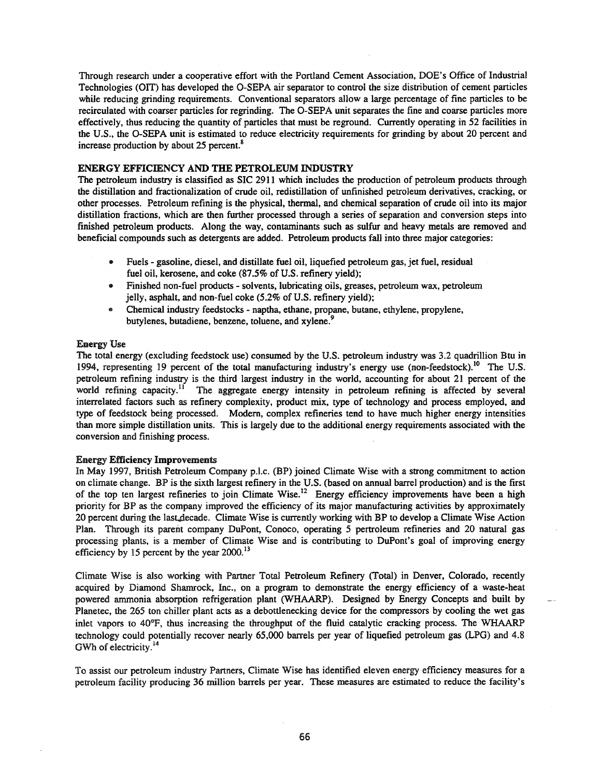Through research under a cooperative effort with the Portland Cement Association, DOE's Office of Industrial Technologies (OIT) has developed the O-SEPA air separator to control the size distribution of cement particles while reducing grinding requirements. Conventional separators allow a large percentage of fine particles to be recirculated with coarser particles for regrinding. The O-SEPA unit separates the fine and coarse particles more effectively, thus reducing the quantity of particles that must be reground. Currently operating in 52 facilities in the U.S., the O-SEPA unit is estimated to reduce electricity requirements for grinding by about 20 percent and increase production by about 25 percent.<sup>8</sup>

# ENERGY EFFICIENCY AND THE PETROLEUM INDUSTRY

The petroleum industry is classified as SIC 2911 which includes the production of petroleum products through the distillation and fractionalization of crude oil, redistillation of unfinished petroleum derivatives, cracking, or other processes. Petroleum refining is the physical, thermal, and chemical separation of crude oil into its major distillation fractions, which are then further processed through a series of separation and conversion steps into finished petroleum products. Along the way, contaminants such as sulfur and heavy metals are removed and beneficial compounds such as detergents are added. Petroleum products fall into three major categories:

- .. Fuels gasoline, diesel, and distillate fuel oil, liquefied petroleum gas, jet fuel, residual fuel oil, kerosene, and coke (87.5% of U.S. refinery yield);
- Finished non-fuel products solvents, lubricating oils, greases, petroleum wax, petroleum jelly, asphalt, and non-fuel coke (5.2% of U.S. refinery yield);
- f» Chemical industry feedstocks naptha, ethane, propane, butane, ethylene, propylene, butylenes, butadiene, benzene, toluene, and xylene.<sup>9</sup>

## Energy Use

The total energy (excluding feedstock use) consumed by the U.S. petroleum industry was 3.2 quadrillion Btu in 1994, representing 19 percent of the total manufacturing industry's energy use (non-feedstock).<sup>10</sup> The U.S. petroleum refining industry is the third largest industry in the world, accounting for about 21 percent of the world refining capacity.<sup>11</sup> The aggregate energy intensity in petroleum refining is affected by several interrelated factors such as refinery complexity, product mix, type of technology and process employed, and type of feedstock being processed. Modern, complex refineries tend to have much higher energy intensities than more simple distillation units. This is largely due to the additional energy requirements associated with the conversion and finishing process.

## Energy Efficiency Improvements

In May 1997, British Petroleum Company p.l.c. (BP) joined Climate Wise with a strong commitment to action on climate change. BP is the sixth largest refinery in the U.S. (based on annual barrel production) and is the first of the top ten largest refineries to join Climate Wise.<sup>12</sup> Energy efficiency improvements have been a high priority for BP as the company improved the efficiency of its major manufacturing activities by approximately 20 percent during the last decade. Climate Wise is currently working with BP to develop a Climate Wise Action Plan. Through its parent company DuPont, Conoco, operating 5 pertroleum refineries and 20 natural gas processing plants, is a member of Climate Wise and is contributing to DuPont's goal of improving energy efficiency by 15 percent by the year  $2000$ .<sup>13</sup>

Climate Wise is also working with Partner Total Petroleum Refinery (Total) in Denver, Colorado, recently acquired by Diamond Shamrock, Inc., on a program to demonstrate the energy efficiency of a waste-heat powered ammonia absorption refrigeration plant (WHAARP). Designed by Energy Concepts and built by Planetec, the 265 ton chiller plant acts as a debottlenecking device for the compressors by cooling the wet gas inlet vapors to 40°F, thus increasing the throughput of the fluid catalytic cracking process. The WHAARP technology could potentially recover nearly 65,000 barrels per year of liquefied petroleum gas (LPG) and 4.8 GWh of electricity.<sup>14</sup>

To assist our petroleum industry Partners, Climate Wise has identified eleven energy efficiency measures for a petroleum facility producing 36 million barrels per year. These measures are estimated to reduce the facility's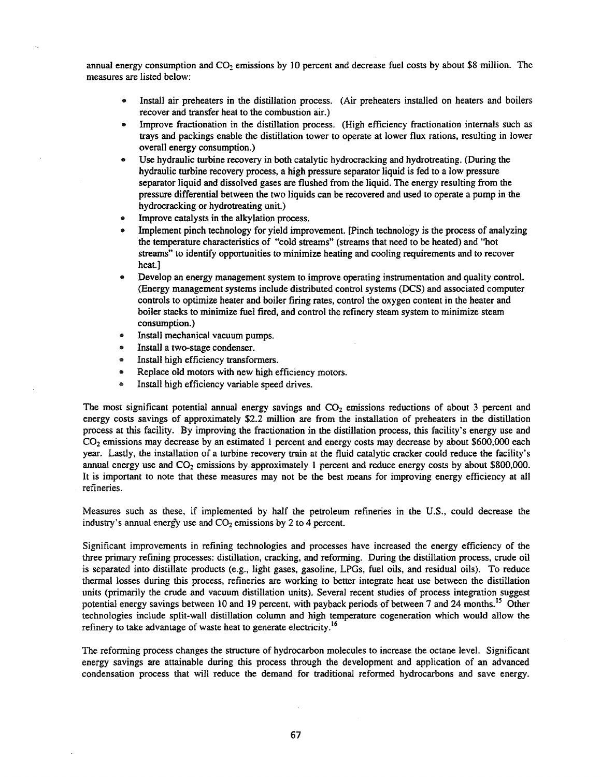annual energy consumption and  $CO<sub>2</sub>$  emissions by 10 percent and decrease fuel costs by about \$8 million. The measures are listed below:

- Install air preheaters in the distillation process. (Air preheaters installed on heaters and boilers recover and transfer heat to the combustion air.)
- Improve fractionation in the distillation process. (High efficiency fractionation internals such as trays and packings enable the distillation tower to operate at lower flux rations, resulting in lower overall energy consumption.)
- Use hydraulic turbine recovery in both catalytic hydrocracking and hydrotreating. (During the hydraulic turbine recovery process, a high pressure separator liquid is fed to a low pressure separator liquid and dissolved gases are flushed from the liquid. The energy resulting from the pressure differential between the two liquids can be recovered and used to operate a pump in the hydrocracking or hydrotreating unit.)
- Improve catalysts in the alkylation process.
- Implement pinch technology for yield improvement. [Pinch technology is the process of analyzing the temperature characteristics of "cold streams" (streams that need to be heated) and "hot streams" to identify opportunities to minimize heating and cooling requirements and to recover heat.]
- Develop an energy management system to improve operating instrumentation and quality control. (Energy management systems include distributed control systems (DCS) and associated computer controls to optimize heater and boiler firing rates, control the oxygen content in the heater and boiler stacks to minimize fuel fired, and control the refinery steam system to minimize steam consumption.)
- Install mechanical vacuum pumps.
- Install a two-stage condenser.
- Install high efficiency transformers.
- Replace old motors with new high efficiency motors.
- Install high efficiency variable speed drives.

The most significant potential annual energy savings and  $CO<sub>2</sub>$  emissions reductions of about 3 percent and energy costs savings of approximately \$2.2 million are from the installation of preheaters in the distillation process at this facility. By improving the fractionation in the distillation process, this facility's energy use and CO<sub>2</sub> emissions may decrease by an estimated 1 percent and energy costs may decrease by about \$600,000 each year. Lastly, the installation of a turbine recovery train at the fluid catalytic cracker could reduce the facility's annual energy use and  $CO<sub>2</sub>$  emissions by approximately 1 percent and reduce energy costs by about \$800,000. It is important to note that these measures may not be the best means for improving energy efficiency at all refineries.

Measures such as these, if implemented by half the petroleum refineries in the U.S., could decrease the industry's annual energy use and  $CO<sub>2</sub>$  emissions by 2 to 4 percent.

Significant improvements in refining technologies and processes have increased the energy efficiency of the three primary refining processes: distillation, cracking, and reforming. During the distillation process, crude oil is separated into distillate products (e.g., light gases, gasoline, LPGs, fuel oils, and residual oils). To reduce thermal losses during this process, refineries are working to better integrate heat use between the distillation units (primarily the crude and vacuum distillation units). Several recent studies of process integration suggest potential energy savings between 10 and 19 percent, with payback periods of between 7 and 24 months.<sup>15</sup> Other technologies include split-wall distillation column and high temperature cogeneration which would allow the refinery to take advantage of waste heat to generate electricity.<sup>16</sup>

The reforming process changes the structure of hydrocarbon molecules to increase the octane level. Significant energy savings are attainable during this process through the development and application of an advanced condensation process that will reduce the demand for traditional reformed hydrocarbons and save energy.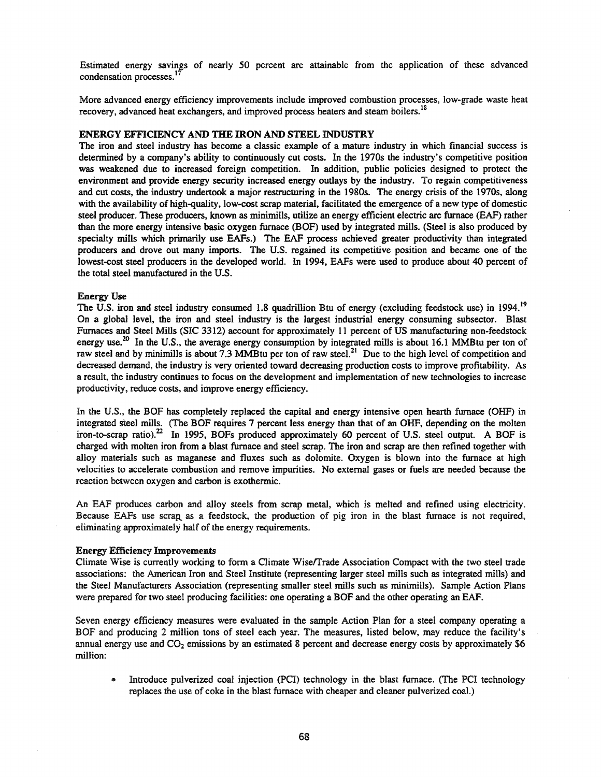Estimated energy savings of nearly 50 percent are attainable from the application of these advanced condensation processes.<sup>1</sup>

More advanced energy efficiency improvements include improved combustion processes, low-grade waste heat recovery, advanced heat exchangers, and improved process heaters and steam boilers.<sup>18</sup>

#### ENERGY EFFICIENCY AND THE IRON AND STEEL INDUSTRY

The iron and steel industry has become a classic example of a mature industry in which financial success is determined by a company's ability to continuously cut costs. In the 1970s the industry's competitive position was weakened due to increased foreign competition. In addition, public policies designed to protect the environment and provide energy security increased energy outlays by the industry. To regain competitiveness and cut costs, the industry undertook a major restructuring in the 1980s. The energy crisis of the 1970s, along with the availability of high-quality, low-cost scrap material, facilitated the emergence of a new type of domestic steel producer. These producers, known as minimills, utilize an energy efficient electric arc furnace (EAF) rather than the more energy intensive basic oxygen furnace (BOF) used by integrated mills. (Steel is also produced by specialty mills which primarily use EAFs.) The EAF process achieved greater productivity than integrated producers and drove out many imports. The U.S. regained its competitive position and became one of the lowest-cost steel producers in the developed world. In 1994, EAFs were used to produce about 40 percent of the total steel manufactured in the U.S.

#### Energy Use

The U.S. iron and steel industry consumed 1.8 quadrillion Btu of energy (excluding feedstock use) in 1994.<sup>19</sup> On a global level, the iron and steel industry is the largest industrial energy consuming subsector. Blast Furnaces and Steel Mills (SIC 3312) account for approximately 11 percent of US manufacturing non-feedstock energy use.<sup>20</sup> In the U.S., the average energy consumption by integrated mills is about 16.1 MMBtu per ton of raw steel and by minimills is about 7.3 MMBtu per ton of raw steel.<sup>21</sup> Due to the high level of competition and decreased demand, the industry is very oriented toward decreasing production costs to improve profitability. As a result, the industry continues to focus on the development and implementation of new technologies to increase productivity, reduce costs, and improve energy efficiency.

In the U.S., the BOF has completely replaced the capital and energy intensive open hearth furnace (OHF) in integrated steel mills. (The BOF requires 7 percent less energy than that of an OHF, depending on the molten iron-to-scrap ratio).<sup>22</sup> In 1995, BOFs produced approximately 60 percent of U.S. steel output. A BOF is charged with molten iron from a blast furnace and steel scrap. The iron and scrap are then refined together with alloy materials such as maganese and fluxes such as dolomite. Oxygen is blown into the furnace at high velocities to accelerate combustion and remove impurities. No external gases or fuels are needed because the reaction between oxygen and carbon is exothermic.

An EAF produces carbon and alloy steels from scrap metal, which is melted and refined using electricity. Because EAFs use scrap as a feedstock, the production of pig iron in the blast furnace is not required, eliminating approximately half of the energy requirements.

#### Energy Efficiency Improvements

Climate Wise is currently working to form a Climate Wiseffrade Association Compact with the two steel trade associations: the American Iron and Steel Institute (representing larger steel mills such as integrated mills) and the Steel Manufacturers Association (representing smaller steel mills such as minimills). Sample Action Plans were prepared for two steel producing facilities: one operating a BOF and the other operating an EAF.

Seven energy efficiency measures were evaluated in the sample Action Plan for a steel company operating a BOF and producing 2 million tons of steel each year. The measures, listed below, may reduce the facility's annual energy use and  $CO<sub>2</sub>$  emissions by an estimated 8 percent and decrease energy costs by approximately \$6 million:

• Introduce pulverized coal injection (PCI) technology in the blast furnace. (The PCI technology replaces the use of coke in the blast furnace with cheaper and cleaner pulverized coal.)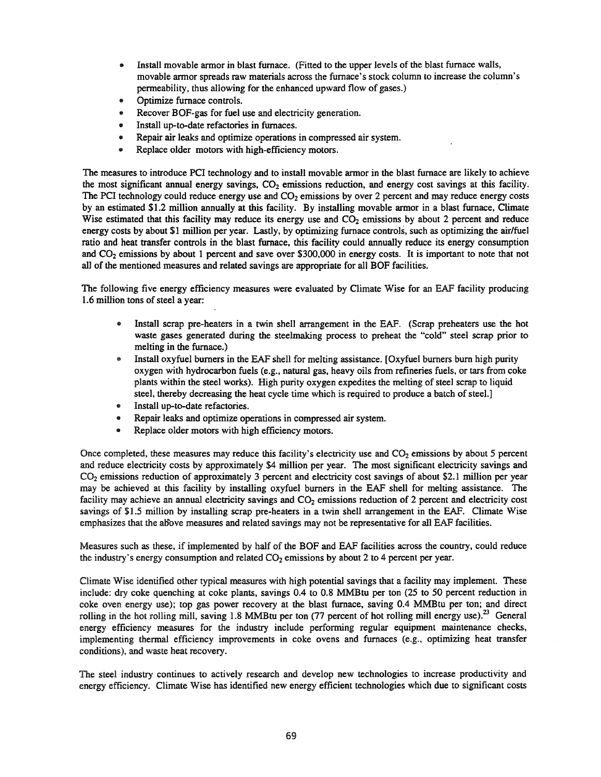- Install movable armor in blast furnace. (Fitted to the upper levels of the blast furnace walls, movable armor spreads raw materials across the furnace's stock column to increase the column's permeability, thus allowing for the enhanced upward flow of gases.)
- Optimize furnace controls.
- .. Recover BOF-gas for fuel use and electricity generation.
- .. Install up-to-date refactories in furnaces.
- Repair air leaks and optimize operations in compressed air system.
- Replace older motors with high-efficiency motors.

The measures to introduce PCI technology and to install movable armor in the blast furnace are likely to achieve the most significant annual energy savings,  $CO<sub>2</sub>$  emissions reduction, and energy cost savings at this facility. The PCI technology could reduce energy use and  $CO<sub>2</sub>$  emissions by over 2 percent and may reduce energy costs by an estimated \$1.2 million annually at this facility. By installing movable annor in a blast furnace, Climate Wise estimated that this facility may reduce its energy use and  $CO<sub>2</sub>$  emissions by about 2 percent and reduce energy costs by about \$1 million per year. Lastly, by optimizing furnace controls, such as optimizing the air/fuel ratio and heat transfer controls in the blast furnace, this facility could annually reduce its energy consumption and  $CO<sub>2</sub>$  emissions by about 1 percent and save over \$300,000 in energy costs. It is important to note that not all of the mentioned measures and related savings are appropriate for all BOP facilities.

The following five energy efficiency measures were evaluated by Climate Wise for an EAF facility producing 1.6 million tons of steel a year:

- e Install scrap pre-heaters in a twin shell arrangement in the EAF. (Scrap preheaters use the hot waste gases generated during the steelmaking process to preheat the "cold" steel scrap prior to melting in the furnace.)
- Install oxyfuel burners in the EAF shell for melting assistance. [Oxyfuel burners burn high purity oxygen with hydrocarbon fuels (e.g., natural gas, heavy oils from refineries fuels, or tars from coke plants within the steel works). High purity oxygen expedites the melting of steel scrap to liquid steel, thereby decreasing the heat cycle time which is required to produce a batch of steel.]
- Install up-to-date refactories.
- Repair leaks and optimize operations in compressed air system.
- Replace older motors with high efficiency motors.

Once completed, these measures may reduce this facility's electricity use and  $CO<sub>2</sub>$  emissions by about 5 percent and reduce electricity costs by approximately \$4 million per year. The most significant electricity savings and CO<sub>2</sub> emissions reduction of approximately 3 percent and electricity cost savings of about \$2.1 million per year may be achieved at this facility by installing oxyfuel burners in the EAF shell for melting assistance. The facility may achieve an annual electricity savings and  $CO<sub>2</sub>$  emissions reduction of 2 percent and electricity cost savings of \$1.5 million by installing scrap pre-heaters in a twin shell arrangement in the EAF. Climate Wise emphasizes that the above measures and related savings may not be representative for all EAF facilities.

Measures such as these, if implemented by half of the BOF and EAF facilities across the country, could reduce the industry's energy consumption and related  $CO<sub>2</sub>$  emissions by about 2 to 4 percent per year.

Climate Wise identified other typical measures with high potential savings that a facility may implement. These include: dry coke quenching at coke plants, savings 0.4 to 0.8 MMBtu per ton (25 to 50 percent reduction in coke oven energy use); top gas power recovery at the blast furnace, saving 0.4 MMBtu per ton; and direct rolling in the hot rolling mill, saving 1.8 MMBtu per ton  $(77$  percent of hot rolling mill energy use).<sup>23</sup> General energy efficiency measures for the industry include performing regular equipment maintenance checks, implementing thermal efficiency improvements in coke ovens and furnaces (e.g., optimizing heat transfer conditions), and waste heat recovery.

The steel industry continues to actively research and develop new technologies to increase productivity and energy efficiency. Climate Wise has identified new energy efficient technologies which due to significant costs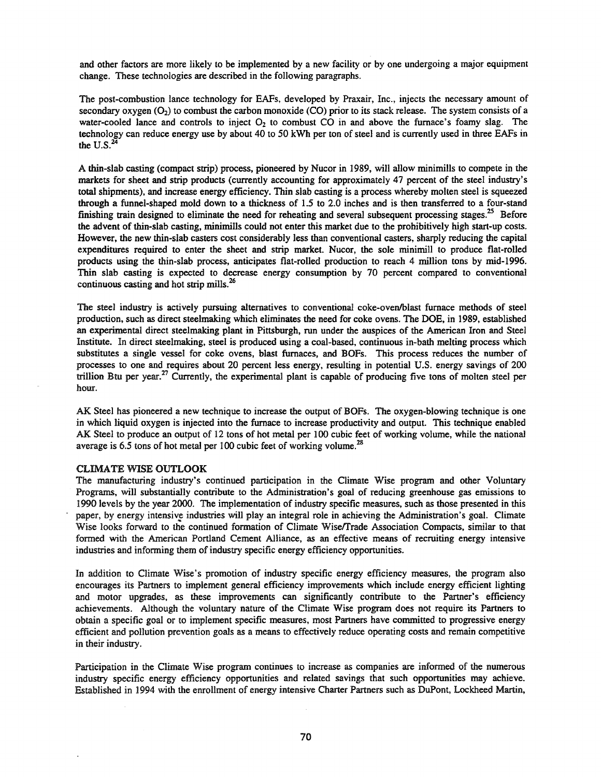and other factors are more likely to be implemented by a new facility or by one undergoing a major equipment change. These technologies are described in the following paragraphs.

The post-combustion lance technology for EAFs, developed by Praxair, Inc., injects the necessary amount of secondary oxygen  $(O_2)$  to combust the carbon monoxide (CO) prior to its stack release. The system consists of a water-cooled lance and controls to inject  $O_2$  to combust CO in and above the furnace's foamy slag. The technology can reduce energy use by about 40 to 50 kWh per ton of steel and is currently used in three EAFs in the  $U.S.<sup>2</sup>$ 

A thin-slab casting (compact strip) process, pioneered by Nucor in 1989, will allow minimills to compete in the markets for sheet and strip products (currently accounting for approximately 47 percent of the steel industry's total shipments), and increase energy efficiency. Thin slab casting is a process whereby molten steel is squeezed through a funnel-shaped mold down to a thickness of 1.5 to 2.0 inches and is then transferred to a four-stand finishing train designed to eliminate the need for reheating and several subsequent processing stages.<sup>25</sup> Before the advent of thin-slab casting, minimills could not enter this market due to the prohibitively high start-up costs. However, the new thin-slab casters cost considerably less than conventional casters, sharply reducing the capital expenditures required to enter the sheet and strip market. Nucor, the sole minimill to produce flat-rolled products using the thin-slab process, anticipates flat-rolled production to reach 4 million tons by mid-1996. Thin slab casting is expected to decrease energy consumption by 70 percent compared to conventional continuous casting and hot strip mills.<sup>26</sup>

The steel industry is actively pursuing alternatives to conventional coke-oven/blast furnace methods of steel production, such as direct steelmaking which eliminates the need for coke ovens. The DOE, in 1989, established an experimental direct steelmaking plant in Pittsburgh, run under the auspices of the American Iron and Steel Institute. In direct steelmaking, steel is produced using a coal-based, continuous in-bath melting process which substitutes a single vessel for coke ovens, blast furnaces, and BOFs. This process reduces the number of processes to one and requires about 20 percent less energy, resulting in potential U.S. energy savings of 200 trillion Btu per year.<sup>27</sup> Currently, the experimental plant is capable of producing five tons of molten steel per hour.

AK Steel has pioneered a new technique to increase the output of BOFs. The oxygen-blowing technique is one in which liquid oxygen is injected into the furnace to increase productivity and output. This technique enabled AK Steel to produce an output of 12 tons of hot metal per 100 cubic feet of working volume, while the national average is 6.5 tons of hot metal per 100 cubic feet of working volume.<sup>28</sup>

#### CLIMATE WISE OUTLOOK

The manufacturing industry's continued participation in the Climate Wise program and other Voluntary Programs, will substantially contribute to the Administration's goal of reducing greenhouse gas emissions to 1990 levels by the year 2000. The implementation of industry specific measures, such as those presented in this paper, by energy intensive industries will play an integral role in achieving the Administration's goal. Climate Wise looks forward to the continued formation of Climate Wise/Trade Association Compacts, similar to that formed with the American Portland Cement Alliance, as an effective means of recruiting energy intensive industries and informing them of industry specific energy efficiency opportunities.

In addition to Climate Wise's promotion of industry specific energy efficiency measures, the program also encourages its Partners to implement general efficiency improvements which include energy efficient lighting and motor upgrades, as these improvements can significantly contribute to the Partner's efficiency achievements. Although the voluntary nature of the Climate Wise program does not require its Partners to obtain a specific goal or to implement specific measures, most Partners have committed to progressive energy efficient and pollution prevention goals as a means to effectively reduce operating costs and remain competitive in their industry.

Participation in the Climate Wise program continues to increase as companies are informed of the numerous industry specific energy efficiency opportunities and related savings that such opportunities may achieve. Established in 1994 with the enrollment of energy intensive Charter Partners such as DuPont, Lockheed Martin,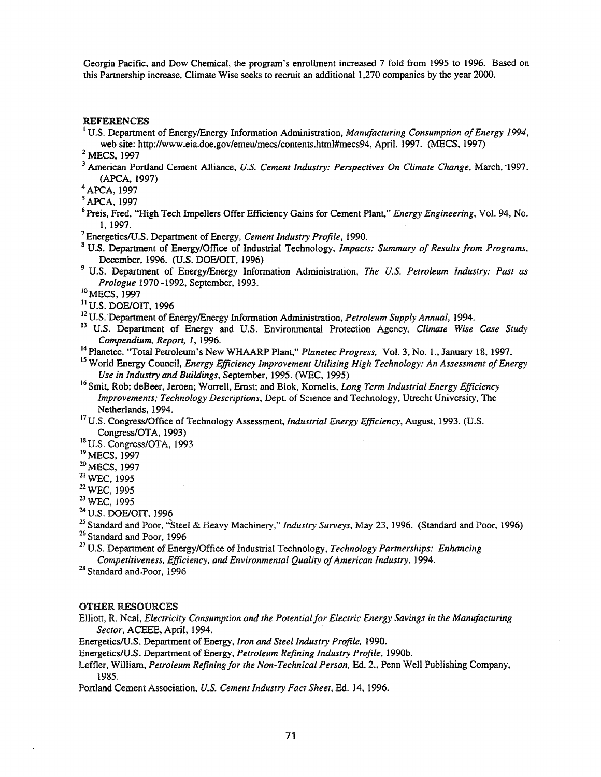Georgia Pacific, and Dow Chemical, the program's enrollment increased 7 fold from 1995 to 1996. Based on this Partnership increase, Climate Wise seeks to recruit an additional 1,270 companies by the year 2000.

## REFERENCES

1U.S. Department of EnergylEnergy Infonnation Administration, *Manufacturing Consumption ofEnergy 1994,* web site: http://www.eia.doe.gov/emeulmecs/contents.htrnl#mecs94, April, 1997. (MECS, 1997)

<sup>2</sup> MECS, 1997

<sup>3</sup> American Portland Cement Alliance, *U.S. Cement Industry: Perspectives On Climate Change,* March, '1997. (APCA, 1997)

4 APCA, 1997

5APCA, 1997

- 6 Preis, Fred, "High Tech Impellers Offer Efficiency Gains for Cement Plant," *Energy Engineering,* Vol. 94, No. 1, 1997.
- <sup>7</sup> EnergeticslU.S. Department of Energy, *Cement Industry Profile,* 1990.
- <sup>8</sup> U.S. Department of Energy/Office of Industrial Technology, *Impacts: Summary of Results from Programs,* December, 1996. (U.S. DOE/OIT, 1996)
- <sup>9</sup> U.S. Department of EnergylEnergy Information Administration, *The U.S. Petroleum Industry: Past as Prologue* 1970 -1992, September, 1993.
- <sup>10</sup> MECS, 1997
- <sup>11</sup> U.S. DOE/OIT, 1996

12U.S.'Department of EnergylEnergy Information Administration, *Petroleum Supply Annual,* 1994.

- <sup>13</sup> U.S. Department of Energy and U.S. Environmental Protection Agency, *Climate Wise Case Study Compendium, Report,* 1, 1996.
- <sup>14</sup> Planetec, "Total Petroleum's New WHAARP Plant," *Planetec Progress,* VoL 3, No.1., January 18, 1997.

<sup>15</sup> World Energy Council, *Energy Efficiency Improvement Utilising High Technology: An Assessment ofEnergy Use in Industry and Buildings,* September, 1995. (WEC, 1995)

- 16Smit, Rob; deBeer, Jeroen; Worrell, Ernst; and Blok, Kornelis, *Long Term Industrial Energy Efficiency Improvements; Technology Descriptions,* Dept. of Science and Technology, Utrecht University, The Netherlands, 1994.
- <sup>17</sup> U.S. Congress/Office of Technology Assessment, *Industrial Energy Efficiency*, August, 1993. (U.S. Congress/OTA, 1993)

<sup>18</sup> U.S. Congress/OTA, 1993

<sup>19</sup> MECS, 1997

<sup>20</sup> MECS, 1997

<sup>21</sup> WEC, 1995

22WEC, 1995

<sup>23</sup> WEC, 1995

<sup>24</sup> U.S. DOE/OIT, 1996

<sup>25</sup> Standard and Poor, "Steel & Heavy Machinery," *Industry Surveys*, May 23, 1996. (Standard and Poor, 1996) <sup>26</sup> Standard and Poor, 1996

<sup>27</sup> U.S. Department of Energy/Office of Industrial Technology, *Technology Partnerships: Enhancing* 

*Competitiveness, Efficiency, and Environmental Quality ofAmerican Industry,* 1994.

<sup>28</sup> Standard and Poor, 1996

## OTHER RESOURCES

Elliott, R. Neal, *Electricity Consumption and the Potentialfor Electric Energy Savings in the Manufacturing Sector,* ACEEE, April, 1994. '

EnergeticslU\$S, Department of Energy, *Iron and Steel Industry Profile,* 1990.

Energetics/U.S. Department of Energy, *Petroleum Refining Industry Profile,* 1990b.

Leffler, William, *Petroleum Refining for the Non-Technical Person*, Ed. 2., Penn Well Publishing Company, 1985.

Portland Cement Association, U.S. *Cement Industry Fact Sheet,* Ed. 14, 1996.